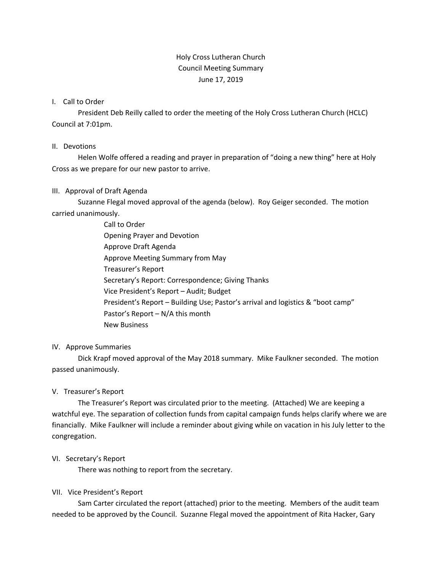# Holy Cross Lutheran Church Council Meeting Summary June 17, 2019

## I. Call to Order

President Deb Reilly called to order the meeting of the Holy Cross Lutheran Church (HCLC) Council at 7:01pm.

## II. Devotions

Helen Wolfe offered a reading and prayer in preparation of "doing a new thing" here at Holy Cross as we prepare for our new pastor to arrive.

# III. Approval of Draft Agenda

Suzanne Flegal moved approval of the agenda (below). Roy Geiger seconded. The motion carried unanimously.

> Call to Order Opening Prayer and Devotion Approve Draft Agenda Approve Meeting Summary from May Treasurer's Report Secretary's Report: Correspondence; Giving Thanks Vice President's Report – Audit; Budget President's Report – Building Use; Pastor's arrival and logistics & "boot camp" Pastor's Report – N/A this month New Business

# IV. Approve Summaries

Dick Krapf moved approval of the May 2018 summary. Mike Faulkner seconded. The motion passed unanimously.

# V. Treasurer's Report

The Treasurer's Report was circulated prior to the meeting. (Attached) We are keeping a watchful eye. The separation of collection funds from capital campaign funds helps clarify where we are financially. Mike Faulkner will include a reminder about giving while on vacation in his July letter to the congregation.

# VI. Secretary's Report

There was nothing to report from the secretary.

# VII. Vice President's Report

Sam Carter circulated the report (attached) prior to the meeting. Members of the audit team needed to be approved by the Council. Suzanne Flegal moved the appointment of Rita Hacker, Gary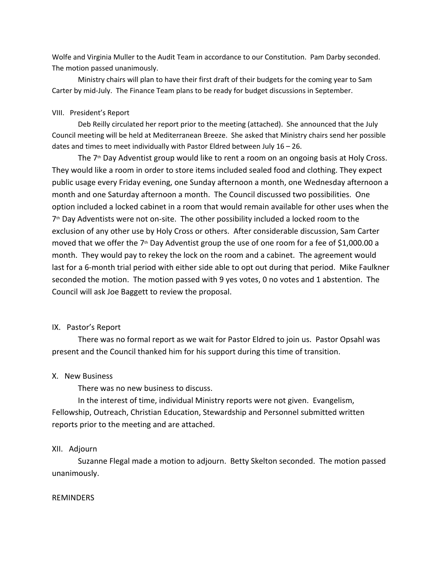Wolfe and Virginia Muller to the Audit Team in accordance to our Constitution. Pam Darby seconded. The motion passed unanimously.

Ministry chairs will plan to have their first draft of their budgets for the coming year to Sam Carter by mid-July. The Finance Team plans to be ready for budget discussions in September.

## VIII. President's Report

Deb Reilly circulated her report prior to the meeting (attached). She announced that the July Council meeting will be held at Mediterranean Breeze. She asked that Ministry chairs send her possible dates and times to meet individually with Pastor Eldred between July 16 – 26.

The  $7<sup>th</sup>$  Day Adventist group would like to rent a room on an ongoing basis at Holy Cross. They would like a room in order to store items included sealed food and clothing. They expect public usage every Friday evening, one Sunday afternoon a month, one Wednesday afternoon a month and one Saturday afternoon a month. The Council discussed two possibilities. One option included a locked cabinet in a room that would remain available for other uses when the  $7<sup>th</sup>$  Day Adventists were not on-site. The other possibility included a locked room to the exclusion of any other use by Holy Cross or others. After considerable discussion, Sam Carter moved that we offer the  $7<sup>th</sup>$  Day Adventist group the use of one room for a fee of \$1,000.00 a month. They would pay to rekey the lock on the room and a cabinet. The agreement would last for a 6-month trial period with either side able to opt out during that period. Mike Faulkner seconded the motion. The motion passed with 9 yes votes, 0 no votes and 1 abstention. The Council will ask Joe Baggett to review the proposal.

#### IX. Pastor's Report

There was no formal report as we wait for Pastor Eldred to join us. Pastor Opsahl was present and the Council thanked him for his support during this time of transition.

# X. New Business

There was no new business to discuss.

In the interest of time, individual Ministry reports were not given. Evangelism, Fellowship, Outreach, Christian Education, Stewardship and Personnel submitted written reports prior to the meeting and are attached.

#### XII. Adjourn

Suzanne Flegal made a motion to adjourn. Betty Skelton seconded. The motion passed unanimously.

## REMINDERS